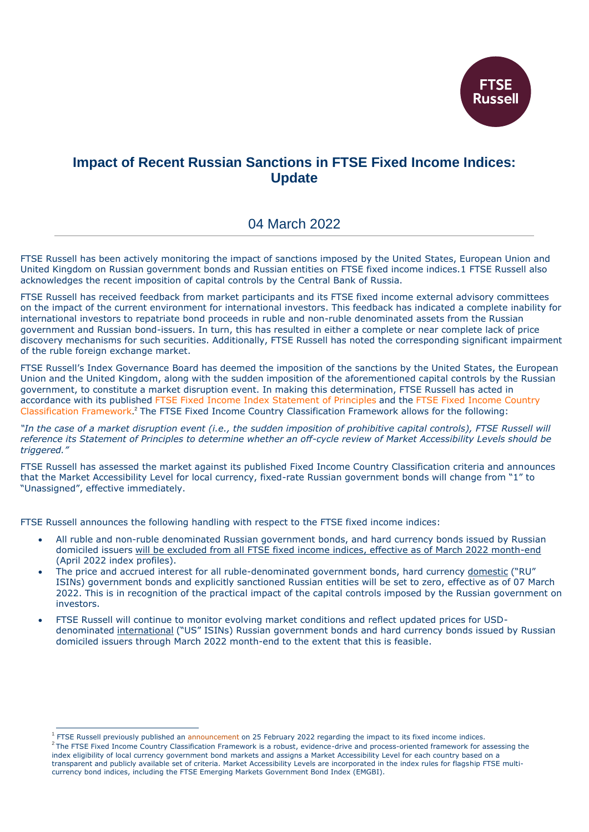

# **Impact of Recent Russian Sanctions in FTSE Fixed Income Indices: Update**

## 04 March 2022

FTSE Russell has been actively monitoring the impact of sanctions imposed by the United States, European Union and United Kingdom on Russian government bonds and Russian entities on FTSE fixed income indices.1 FTSE Russell also acknowledges the recent imposition of capital controls by the Central Bank of Russia.

FTSE Russell has received feedback from market participants and its FTSE fixed income external advisory committees on the impact of the current environment for international investors. This feedback has indicated a complete inability for international investors to repatriate bond proceeds in ruble and non-ruble denominated assets from the Russian government and Russian bond-issuers. In turn, this has resulted in either a complete or near complete lack of price discovery mechanisms for such securities. Additionally, FTSE Russell has noted the corresponding significant impairment of the ruble foreign exchange market.

FTSE Russell's Index Governance Board has deemed the imposition of the sanctions by the United States, the European Union and the United Kingdom, along with the sudden imposition of the aforementioned capital controls by the Russian government, to constitute a market disruption event. In making this determination, FTSE Russell has acted in accordance with its published [FTSE Fixed Income Index Statement of Principles](https://research.ftserussell.com/products/downloads/Statement_of_Principles_Fixed_Income_Indexes.pdf) and the [FTSE Fixed Income Country](https://research.ftserussell.com/products/downloads/FTSE_Fixed_Income_Country_Classification_Process.pdf)  [Classification Framework](https://research.ftserussell.com/products/downloads/FTSE_Fixed_Income_Country_Classification_Process.pdf). <sup>2</sup> The FTSE Fixed Income Country Classification Framework allows for the following:

*"In the case of a market disruption event (i.e., the sudden imposition of prohibitive capital controls), FTSE Russell will reference its Statement of Principles to determine whether an off-cycle review of Market Accessibility Levels should be triggered."*

FTSE Russell has assessed the market against its published Fixed Income Country Classification criteria and announces that the Market Accessibility Level for local currency, fixed-rate Russian government bonds will change from "1" to "Unassigned", effective immediately.

FTSE Russell announces the following handling with respect to the FTSE fixed income indices:

- All ruble and non-ruble denominated Russian government bonds, and hard currency bonds issued by Russian domiciled issuers will be excluded from all FTSE fixed income indices, effective as of March 2022 month-end (April 2022 index profiles).
- The price and accrued interest for all ruble-denominated government bonds, hard currency domestic ("RU" ISINs) government bonds and explicitly sanctioned Russian entities will be set to zero, effective as of 07 March 2022. This is in recognition of the practical impact of the capital controls imposed by the Russian government on investors.
- FTSE Russell will continue to monitor evolving market conditions and reflect updated prices for USDdenominated international ("US" ISINs) Russian government bonds and hard currency bonds issued by Russian domiciled issuers through March 2022 month-end to the extent that this is feasible.

-

<sup>&</sup>lt;sup>1</sup> FTSE Russell previously published an [announcement](http://yieldbook.com/f/m/pdf/ftse_indexes/announcements/IX2-2022025-impact-of-russian-sanctions-on-ftse-fixed-income-indices) on 25 February 2022 regarding the impact to its fixed income indices.

 $^2$ The FTSE Fixed Income Country Classification Framework is a robust, evidence-drive and process-oriented framework for assessing the index eligibility of local currency government bond markets and assigns a Market Accessibility Level for each country based on a transparent and publicly available set of criteria. Market Accessibility Levels are incorporated in the index rules for flagship FTSE multicurrency bond indices, including the FTSE Emerging Markets Government Bond Index (EMGBI).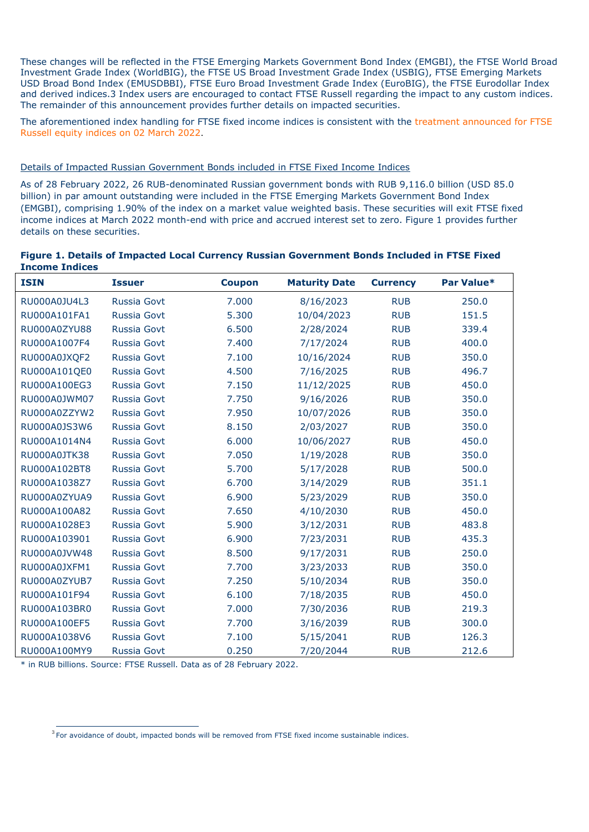These changes will be reflected in the FTSE Emerging Markets Government Bond Index (EMGBI), the FTSE World Broad Investment Grade Index (WorldBIG), the FTSE US Broad Investment Grade Index (USBIG), FTSE Emerging Markets USD Broad Bond Index (EMUSDBBI), FTSE Euro Broad Investment Grade Index (EuroBIG), the FTSE Eurodollar Index and derived indices.3 Index users are encouraged to contact FTSE Russell regarding the impact to any custom indices. The remainder of this announcement provides further details on impacted securities.

The aforementioned index handling for FTSE fixed income indices is consistent with the [treatment announced for FTSE](https://research.ftserussell.com/products/index-notices/home/getnotice/?id=2603553)  [Russell equity indices on 02 March 2022](https://research.ftserussell.com/products/index-notices/home/getnotice/?id=2603553).

## Details of Impacted Russian Government Bonds included in FTSE Fixed Income Indices

As of 28 February 2022, 26 RUB-denominated Russian government bonds with RUB 9,116.0 billion (USD 85.0 billion) in par amount outstanding were included in the FTSE Emerging Markets Government Bond Index (EMGBI), comprising 1.90% of the index on a market value weighted basis. These securities will exit FTSE fixed income indices at March 2022 month-end with price and accrued interest set to zero. Figure 1 provides further details on these securities.

| Figure 1. Details of Impacted Local Currency Russian Government Bonds Included in FTSE Fixed |  |  |
|----------------------------------------------------------------------------------------------|--|--|
| <b>Income Indices</b>                                                                        |  |  |

| <b>ISIN</b>         | <b>Issuer</b>      | <b>Coupon</b> | <b>Maturity Date</b> | <b>Currency</b> | Par Value* |
|---------------------|--------------------|---------------|----------------------|-----------------|------------|
| RU000A0JU4L3        | <b>Russia Govt</b> | 7.000         | 8/16/2023            | <b>RUB</b>      | 250.0      |
| RU000A101FA1        | Russia Govt        | 5.300         | 10/04/2023           | <b>RUB</b>      | 151.5      |
| <b>RU000A0ZYU88</b> | <b>Russia Govt</b> | 6.500         | 2/28/2024            | <b>RUB</b>      | 339.4      |
| RU000A1007F4        | Russia Govt        | 7.400         | 7/17/2024            | <b>RUB</b>      | 400.0      |
| RU000A0JXQF2        | Russia Govt        | 7.100         | 10/16/2024           | <b>RUB</b>      | 350.0      |
| RU000A101QE0        | <b>Russia Govt</b> | 4.500         | 7/16/2025            | <b>RUB</b>      | 496.7      |
| RU000A100EG3        | <b>Russia Govt</b> | 7.150         | 11/12/2025           | <b>RUB</b>      | 450.0      |
| RU000A0JWM07        | Russia Govt        | 7.750         | 9/16/2026            | <b>RUB</b>      | 350.0      |
| RU000A0ZZYW2        | Russia Govt        | 7.950         | 10/07/2026           | <b>RUB</b>      | 350.0      |
| RU000A0JS3W6        | <b>Russia Govt</b> | 8.150         | 2/03/2027            | <b>RUB</b>      | 350.0      |
| RU000A1014N4        | <b>Russia Govt</b> | 6.000         | 10/06/2027           | <b>RUB</b>      | 450.0      |
| RU000A0JTK38        | Russia Govt        | 7.050         | 1/19/2028            | <b>RUB</b>      | 350.0      |
| RU000A102BT8        | <b>Russia Govt</b> | 5.700         | 5/17/2028            | <b>RUB</b>      | 500.0      |
| RU000A1038Z7        | <b>Russia Govt</b> | 6.700         | 3/14/2029            | <b>RUB</b>      | 351.1      |
| RU000A0ZYUA9        | <b>Russia Govt</b> | 6.900         | 5/23/2029            | <b>RUB</b>      | 350.0      |
| RU000A100A82        | <b>Russia Govt</b> | 7.650         | 4/10/2030            | <b>RUB</b>      | 450.0      |
| RU000A1028E3        | <b>Russia Govt</b> | 5.900         | 3/12/2031            | <b>RUB</b>      | 483.8      |
| RU000A103901        | <b>Russia Govt</b> | 6.900         | 7/23/2031            | <b>RUB</b>      | 435.3      |
| RU000A0JVW48        | <b>Russia Govt</b> | 8.500         | 9/17/2031            | <b>RUB</b>      | 250.0      |
| RU000A0JXFM1        | <b>Russia Govt</b> | 7.700         | 3/23/2033            | <b>RUB</b>      | 350.0      |
| RU000A0ZYUB7        | <b>Russia Govt</b> | 7.250         | 5/10/2034            | <b>RUB</b>      | 350.0      |
| RU000A101F94        | <b>Russia Govt</b> | 6.100         | 7/18/2035            | <b>RUB</b>      | 450.0      |
| RU000A103BR0        | <b>Russia Govt</b> | 7.000         | 7/30/2036            | <b>RUB</b>      | 219.3      |
| RU000A100EF5        | Russia Govt        | 7.700         | 3/16/2039            | <b>RUB</b>      | 300.0      |
| RU000A1038V6        | <b>Russia Govt</b> | 7.100         | 5/15/2041            | <b>RUB</b>      | 126.3      |
| RU000A100MY9        | Russia Govt        | 0.250         | 7/20/2044            | <b>RUB</b>      | 212.6      |

\* in RUB billions. Source: FTSE Russell. Data as of 28 February 2022.

**The set of the set of doubt, impacted bonds will be removed from FTSE fixed income sustainable indices.**<br><sup>3</sup> For avoidance of doubt, impacted bonds will be removed from FTSE fixed income sustainable indices.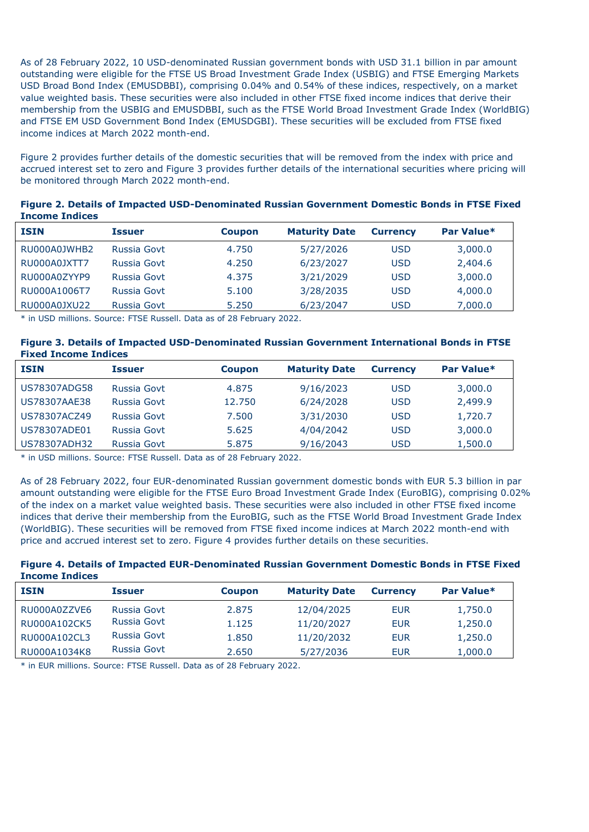As of 28 February 2022, 10 USD-denominated Russian government bonds with USD 31.1 billion in par amount outstanding were eligible for the FTSE US Broad Investment Grade Index (USBIG) and FTSE Emerging Markets USD Broad Bond Index (EMUSDBBI), comprising 0.04% and 0.54% of these indices, respectively, on a market value weighted basis. These securities were also included in other FTSE fixed income indices that derive their membership from the USBIG and EMUSDBBI, such as the FTSE World Broad Investment Grade Index (WorldBIG) and FTSE EM USD Government Bond Index (EMUSDGBI). These securities will be excluded from FTSE fixed income indices at March 2022 month-end.

Figure 2 provides further details of the domestic securities that will be removed from the index with price and accrued interest set to zero and Figure 3 provides further details of the international securities where pricing will be monitored through March 2022 month-end.

| Figure 2. Details of Impacted USD-Denominated Russian Government Domestic Bonds in FTSE Fixed |
|-----------------------------------------------------------------------------------------------|
| <b>Income Indices</b>                                                                         |

| <b>ISIN</b>  | <b>Issuer</b> | <b>Coupon</b> | <b>Maturity Date</b> | <b>Currency</b> | Par Value* |
|--------------|---------------|---------------|----------------------|-----------------|------------|
| RU000A0JWHB2 | Russia Govt   | 4.750         | 5/27/2026            | USD             | 3,000.0    |
| RU000A0JXTT7 | Russia Govt   | 4.250         | 6/23/2027            | USD             | 2,404.6    |
| RU000A0ZYYP9 | Russia Govt   | 4.375         | 3/21/2029            | USD             | 3,000.0    |
| RU000A1006T7 | Russia Govt   | 5.100         | 3/28/2035            | USD             | 4,000.0    |
| RU000A0JXU22 | Russia Govt   | 5.250         | 6/23/2047            | USD             | 7,000.0    |

\* in USD millions. Source: FTSE Russell. Data as of 28 February 2022.

### **Figure 3. Details of Impacted USD-Denominated Russian Government International Bonds in FTSE Fixed Income Indices**

| <b>ISIN</b>  | <b>Issuer</b> | <b>Coupon</b> | <b>Maturity Date</b> | <b>Currency</b> | Par Value* |
|--------------|---------------|---------------|----------------------|-----------------|------------|
| US78307ADG58 | Russia Govt   | 4.875         | 9/16/2023            | USD             | 3,000.0    |
| US78307AAE38 | Russia Govt   | 12.750        | 6/24/2028            | USD             | 2,499.9    |
| US78307ACZ49 | Russia Govt   | 7.500         | 3/31/2030            | USD             | 1,720.7    |
| US78307ADE01 | Russia Govt   | 5.625         | 4/04/2042            | USD             | 3,000.0    |
| US78307ADH32 | Russia Govt   | 5.875         | 9/16/2043            | USD             | 1,500.0    |

\* in USD millions. Source: FTSE Russell. Data as of 28 February 2022.

As of 28 February 2022, four EUR-denominated Russian government domestic bonds with EUR 5.3 billion in par amount outstanding were eligible for the FTSE Euro Broad Investment Grade Index (EuroBIG), comprising 0.02% of the index on a market value weighted basis. These securities were also included in other FTSE fixed income indices that derive their membership from the EuroBIG, such as the FTSE World Broad Investment Grade Index (WorldBIG). These securities will be removed from FTSE fixed income indices at March 2022 month-end with price and accrued interest set to zero. Figure 4 provides further details on these securities.

**Figure 4. Details of Impacted EUR-Denominated Russian Government Domestic Bonds in FTSE Fixed Income Indices**

| <b>ISIN</b>  | Issuer      | <b>Coupon</b> | <b>Maturity Date</b> | <b>Currency</b> | Par Value* |
|--------------|-------------|---------------|----------------------|-----------------|------------|
| RU000A0ZZVE6 | Russia Govt | 2.875         | 12/04/2025           | <b>EUR</b>      | 1,750.0    |
| RU000A102CK5 | Russia Govt | 1.125         | 11/20/2027           | <b>EUR</b>      | 1,250.0    |
| RU000A102CL3 | Russia Govt | 1.850         | 11/20/2032           | <b>EUR</b>      | 1,250.0    |
| RU000A1034K8 | Russia Govt | 2.650         | 5/27/2036            | <b>EUR</b>      | 1,000.0    |

\* in EUR millions. Source: FTSE Russell. Data as of 28 February 2022.